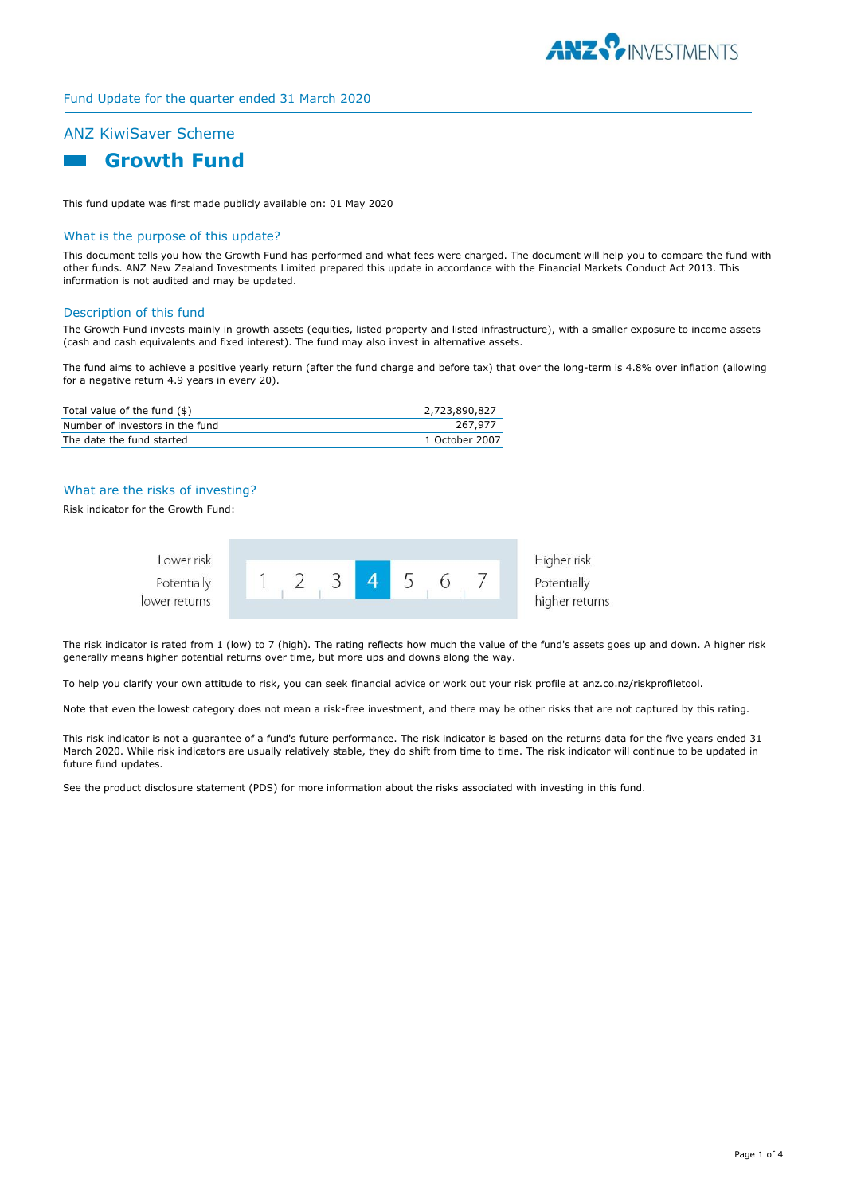

## Fund Update for the quarter ended 31 March 2020

# ANZ KiwiSaver Scheme



This fund update was first made publicly available on: 01 May 2020

## What is the purpose of this update?

This document tells you how the Growth Fund has performed and what fees were charged. The document will help you to compare the fund with other funds. ANZ New Zealand Investments Limited prepared this update in accordance with the Financial Markets Conduct Act 2013. This information is not audited and may be updated.

#### Description of this fund

The Growth Fund invests mainly in growth assets (equities, listed property and listed infrastructure), with a smaller exposure to income assets (cash and cash equivalents and fixed interest). The fund may also invest in alternative assets.

The fund aims to achieve a positive yearly return (after the fund charge and before tax) that over the long-term is 4.8% over inflation (allowing for a negative return 4.9 years in every 20).

| Total value of the fund (\$)    | 2,723,890,827  |
|---------------------------------|----------------|
| Number of investors in the fund | 267.977        |
| The date the fund started       | 1 October 2007 |

## What are the risks of investing?

Risk indicator for the Growth Fund:



The risk indicator is rated from 1 (low) to 7 (high). The rating reflects how much the value of the fund's assets goes up and down. A higher risk generally means higher potential returns over time, but more ups and downs along the way.

To help you clarify your own attitude to risk, you can seek financial advice or work out your risk profile at anz.co.nz/riskprofiletool.

Note that even the lowest category does not mean a risk-free investment, and there may be other risks that are not captured by this rating.

This risk indicator is not a guarantee of a fund's future performance. The risk indicator is based on the returns data for the five years ended 31 March 2020. While risk indicators are usually relatively stable, they do shift from time to time. The risk indicator will continue to be updated in future fund updates.

See the product disclosure statement (PDS) for more information about the risks associated with investing in this fund.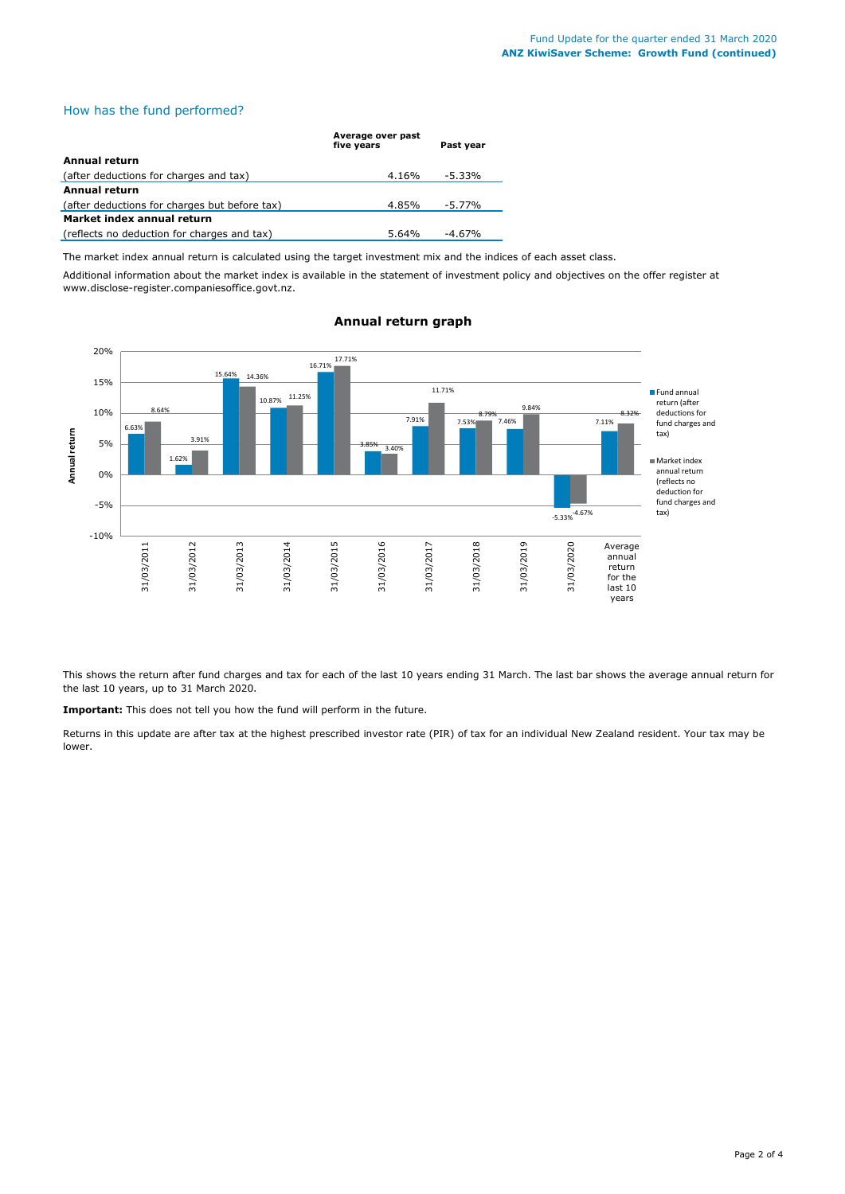## How has the fund performed?

|                                               | Average over past<br>five vears | Past vear |  |
|-----------------------------------------------|---------------------------------|-----------|--|
| Annual return                                 |                                 |           |  |
| (after deductions for charges and tax)        | 4.16%                           | -5.33%    |  |
| Annual return                                 |                                 |           |  |
| (after deductions for charges but before tax) | 4.85%                           | $-5.77\%$ |  |
| Market index annual return                    |                                 |           |  |
| (reflects no deduction for charges and tax)   | 5.64%                           | -4.67%    |  |

The market index annual return is calculated using the target investment mix and the indices of each asset class.

Additional information about the market index is available in the statement of investment policy and objectives on the offer register at www.disclose-register.companiesoffice.govt.nz.



## **Annual return graph**

This shows the return after fund charges and tax for each of the last 10 years ending 31 March. The last bar shows the average annual return for the last 10 years, up to 31 March 2020.

**Important:** This does not tell you how the fund will perform in the future.

Returns in this update are after tax at the highest prescribed investor rate (PIR) of tax for an individual New Zealand resident. Your tax may be lower.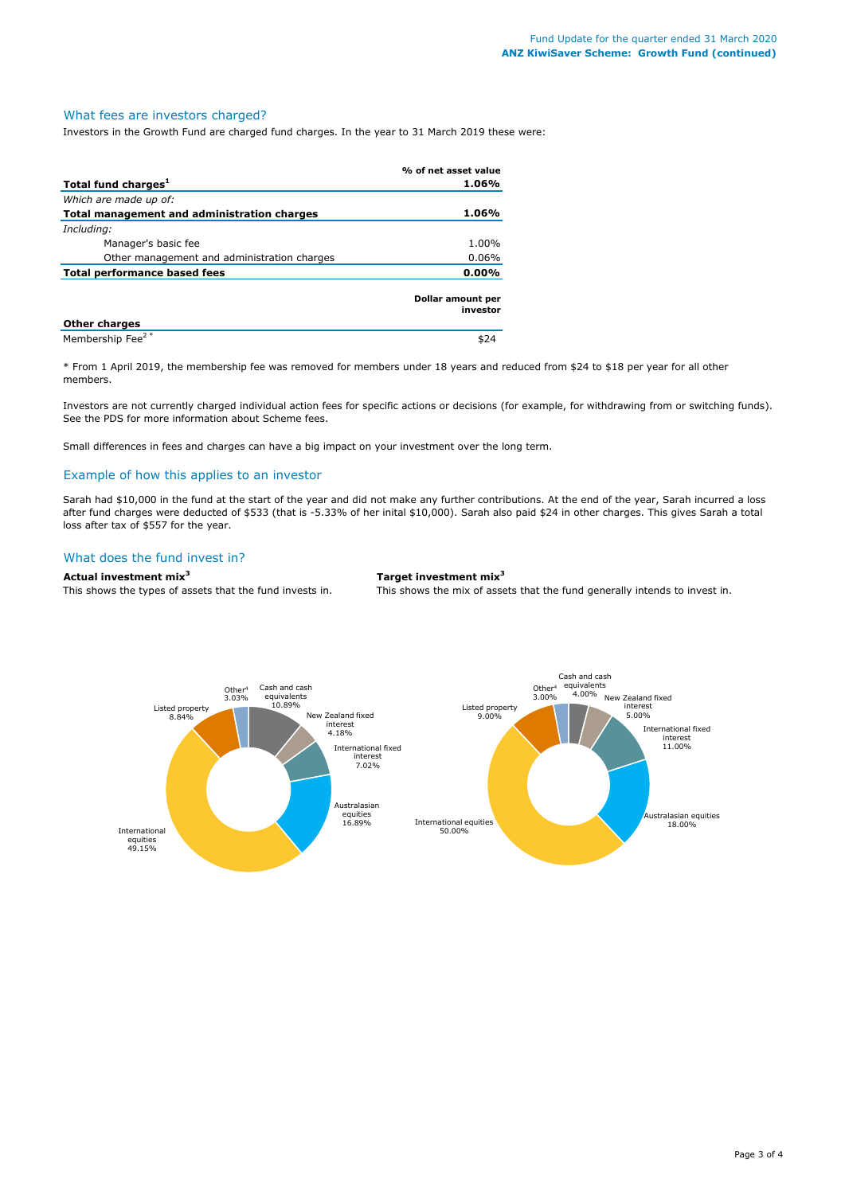#### What fees are investors charged?

Investors in the Growth Fund are charged fund charges. In the year to 31 March 2019 these were:

|                                             | % of net asset value          |
|---------------------------------------------|-------------------------------|
| Total fund charges <sup>1</sup>             | 1.06%                         |
| Which are made up of:                       |                               |
| Total management and administration charges | 1.06%                         |
| Including:                                  |                               |
| Manager's basic fee                         | 1.00%                         |
| Other management and administration charges | $0.06\%$                      |
| Total performance based fees                | $0.00\%$                      |
|                                             | Dollar amount per<br>investor |
| <b>Other charges</b>                        |                               |
| Membership Fee <sup>2*</sup>                | \$24                          |

\* From 1 April 2019, the membership fee was removed for members under 18 years and reduced from \$24 to \$18 per year for all other members.

Investors are not currently charged individual action fees for specific actions or decisions (for example, for withdrawing from or switching funds). See the PDS for more information about Scheme fees.

Small differences in fees and charges can have a big impact on your investment over the long term.

## Example of how this applies to an investor

Sarah had \$10,000 in the fund at the start of the year and did not make any further contributions. At the end of the year, Sarah incurred a loss after fund charges were deducted of \$533 (that is -5.33% of her inital \$10,000). Sarah also paid \$24 in other charges. This gives Sarah a total loss after tax of \$557 for the year.

## What does the fund invest in?

#### **Actual investment mix<sup>3</sup> Target investment mix<sup>3</sup>**

This shows the types of assets that the fund invests in. This shows the mix of assets that the fund generally intends to invest in.